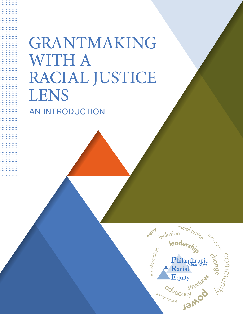# GRANTMAKING WITH A RACIAL JUSTICE LENS AN INTRODUCTION

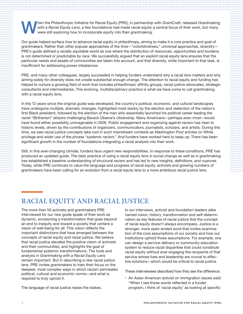When the Philanthropic Initiative for Racial Equity (PRE), in partnership with GrantCraft, released *Grantmaking* with a Racial Equity Lens, a few foundations had made racial equity a central focus of their work, but many *with a Racial Equity Lens*, a few foundations had made racial equity a central focus of their work, but many were still exploring how to incorporate equity into their grantmaking.

Our guide helped surface *how* to advance racial equity in philanthropy, aiming to make it a core practice and goal of grantmakers. Rather than other popular approaches of the time—"colorblindness," universal approaches, diversity— PRE's guide defined a racially equitable world as one where the distribution of resources, opportunities and burdens is not determined or predictable by race. We successfully argued that an explicit racial equity lens ensures that the particular needs and assets of communities are taken into account, and that diversity, while important to that task, is insufficient for addressing power imbalances.

PRE, and many other colleagues, largely succeeded in helping funders understand why a racial lens matters and why aiming solely for diversity does not create substantial enough change. The attention to racial equity and funding has helped to nurture a growing field of work that includes philanthropic affinity groups, racial justice advocates, strategic consultants and intermediaries. This evolving, multidisciplinary practice is what we have come to call grantmaking with a racial equity lens.

In the 12 years since the original guide was developed, the country's political, economic, and cultural landscapes have undergone multiple, dramatic changes, highlighted most starkly by the election and reelection of the nation's first Black president, followed by the election of the man who essentially launched his political career leading the racist "Birtherism" attacks challenging Barack Obama's citizenship. Many Americans—perhaps even most—would have found either possibility unimaginable in 2006. Public engagement and organizing against racism has risen to historic levels, driven by the contributions of organizers, communicators, journalists, scholars, and artists. During this time, we saw racial justice concepts take root in such mainstream contexts as *Washington Post* articles on White privilege and wider use of the phrase "systemic racism." And funders have worked hard to keep up: There has been significant growth in the number of foundations integrating a racial analysis into their work.

Still, in this ever-changing climate, funders face urgent new responsibilities. In response to these conditions, PRE has produced an updated guide. The daily practice of using a racial equity lens in social change as well as in grantmaking has established a baseline understanding of structural racism and has led to new insights, definitions, and nuances. Today, while PRE continues to value the language and progress of racial equity, activists and growing numbers of grantmakers have been calling for an evolution from a *racial equity* lens to a more ambitious *racial justice* lens.

## **RACIAL EQUITY AND RACIAL JUSTICE**

The more than 50 activists and grantmakers PRE interviewed for our new guide speak of their work as dynamic, envisioning a transformation that goes beyond an end to inequity and toward a society that centers a vision of well-being for all. This vision reflects the important distinctions that have emerged between the concepts of racial equity and racial justice. We believe that *racial justice* elevates the positive vision of activists and their communities, and highlights the goal of fundamental systemic transformations. The tools and analysis in *Grantmaking with a Racial Equity Lens* remain important. But in describing a new racial justice lens, PRE invites grantmakers to train their focus on the deepest, most complex ways in which racism permeates political, cultural and economic norms—and what is required to truly uproot it.

The language of racial justice raises the stakes.

In our interviews, activist and foundation leaders alike named vision, history, transformation and self-determination as key features of racial justice that the concept of racial equity doesn't always encompass. Justice is a stronger, more open-ended word that invites examination of the core assumptions of our society and how our institutions uphold those assumptions. For example, one can design a service-delivery or community-education system to reduce racial disparities that could constitute racial equity without ever engaging the recipients of that service whose lives and leadership are crucial to effective solutions—which would be critical to *racial justice*.

These interviewees described how they see the difference:

• An Asian American activist on immigration issues said: "When I see those words reflected in a funder program, I think of 'racial equity' as looking at specific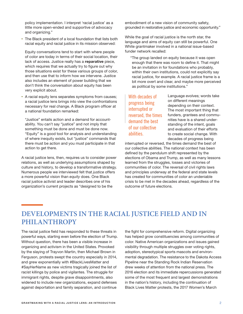policy implementation. I interpret 'racial justice' as a little more open-ended and supportive of advocacy and organizing."

The Black president of a local foundation that lists both racial equity and racial justice in its mission observed:

Equity conversations tend to start with where people of color are today in terms of their social location, their lack of access. Justice really has a reparative piece, which requires that we actually try to figure out why those situations exist for these various groups of color, and then use that to inform how we intervene. Justice also includes an element of power building that we don't think the conversation about equity has been very explicit about.

• A racial equity lens separates symptoms from causes; a racial justice lens brings into view the confrontations necessary for real change. A Black program officer at a national foundation remarked:

"Justice" entails action and a demand for accountability. You can't say "justice" and not imply that something must be done and must be done now. "Equity" is a good tool for analysis and understanding of where inequity exists, but "justice" commands that there must be action and you must participate in that action to get there.

A racial justice lens, then, requires us to consider power relations, as well as underlying assumptions shaped by culture and history, to develop a transformative strategy. Numerous people we interviewed felt that *justice* offers a more powerful vision than *equity* does. One Black racial justice activist and leader describes one of his organization's current projects as "designed to be the

embodiment of a new vision of community safety, grounded in restorative justice and economic opportunity."

While the goal of racial justice is the north star, the language and aims of equity can still be powerful. One White grantmaker involved in a national issue-based funder network recalled:

"The group landed on equity because it was open enough that there was room to define it. That might be an invitation in for foundations who probably, within their own institutions, could not explicitly say racial justice, for example. A racial justice frame is a bit more overt and clear, and maybe more perceived as political by some institutions."

With decades of progress being interrupted or reversed, the times demand the best of our collective abilities.

Language evolves; words take on different meanings depending on their context. The most important thing that funders, grantees and communities have is a shared understanding of the intent, goals and evaluation of their efforts to create social change. With decades of progress being

interrupted or reversed, the times demand the best of our collective abilities. The national context has been defined by the pendulum shift represented by the elections of Obama and Trump, as well as many lessons learned from the struggles, losses and victories of communities of color. The reversal of civil rights laws and principles underway at the federal and state levels has created for communities of color an undeniable crisis to be met in the decades ahead, regardless of the outcome of future elections.

## **DEVELOPMENTS IN THE RACIAL JUSTICE FIELD AND IN PHILANTHROPY**

The racial justice field has responded to these threats in powerful ways, starting even before the election of Trump. Without question, there has been a visible increase in organizing and activism in the United States. Provoked by the slaying of Trayvon Martin, then Michael Brown in Ferguson, protests swept the country especially in 2014, and grew exponentially with #BlackLivesMatter and #SayHerName as new victims tragically joined the list of racist killings by police and vigilantes. The struggle for immigrant rights, despite grave disappointments, also widened to include new organizations, expand defenses against deportation and family separation, and continue

the fight for comprehensive reform. Digital organizing has helped grow constituencies among communities of color. Native American organizations and issues gained visibility through multiple struggles over voting rights, adoption, stereotypical sports mascots and environmental degradation. The resistance to the Dakota Access Pipeline near the Standing Rock Indian Reservation drew weeks of attention from the national press. The 2016 election and its immediate repercussions generated some of the most frequent and largest demonstrations in the nation's history, including the continuation of Black Lives Matter protests, the 2017 Women's March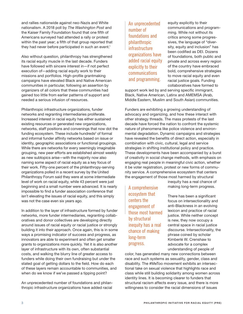<span id="page-3-0"></span>and rallies nationwide against neo-Nazis and White nationalism. A 2018 poll by *The Washington Post* and the [Kaiser Family Foundation](https://www.kff.org/) found that one fifth of Americans surveyed had attended a rally or protest within the past year; a fifth of that group reported that they had never before participated in such an event.<sup>1</sup>

Also without question, philanthropy has strengthened its racial equity muscle in the last decade. Funders have followed with sincere interest in—if not perfect execution of—adding racial equity work to their missions and portfolios. High-profile grantmaking campaigns have elevated Black and Native American communities in particular, following an assertion by organizers of all colors that these communities had gained too little from earlier patterns of support and needed a serious infusion of resources.

Philanthropic infrastructure organizations, funder networks and regranting intermediaries proliferate. Increased interest in racial equity has either sustained existing resources or generated new organizations, networks, staff positions and convenings that now dot the funding ecosystem. These include hundreds<sup>[2](#page-4-0)</sup> of formal and informal funder affinity networks based on issue or identity, geographic associations or functional groupings. While there are networks for every seemingly imaginable grouping, new peer efforts are established almost weekly as new subtopics arise—with the majority now also naming some aspect of racial equity as a key focus of their work. Fifty-one percent of the philanthropy-serving organizations polled in a recent survey by the [United](https://www.unitedphilforum.org/)  [Philanthropy Forum](https://www.unitedphilforum.org/) said they were at some intermediate level of work on racial equity, while 43 percent were just beginning and a small number were advanced. It is nearly impossible to find a funder association conference that isn't elevating the issues of racial equity, and this simply was not the case even six years ago.

In addition to the layer of infrastructure formed by funder networks, more funder intermediaries, regranting collaboratives and donor collectives are developing directly around issues of racial equity or racial justice or strongly building it into their approach. Once again, this is in some ways a promising indicator of success and progress, as innovators are able to experiment and often get smaller grants to organizations more quickly. Yet it is also another layer of infrastructure with its own, often substantial costs, and walking the blurry line of greater access to funders while doing their own fundraising but under the stated goal of getting dollars to the field. How do each of these layers remain accountable to communities, and when do we know if we've passed a tipping point?

An unprecedented number of foundations and philanthropic infrastructure organizations have added racial An unprecedented number of foundations and philanthropic **infrastructure** organizations have added racial equity explicitly to their communications and programming.

equity explicitly to their communications and programming. While not without its critics among some progressives, the language of "diversity, equity and inclusion" has been codified as DEI. Dozens of foundations, both public and private and across every region of the country have embraced bold, comprehensive strategies to move racial equity and even racial justice goals. Funding collaboratives have formed to

support work led by and serving specific immigrant, Black, Native American, Latinx and AMEMSA (Arab, Middle Eastern, Muslim and South Asian) communities.

Funders are exhibiting a growing understanding of advocacy and organizing, and how these interact with other strategy threads. The mass protests of the last decade have forced the nation to confront the systemic nature of phenomena like police violence and environmental degradation. Dynamic campaigns and strategies have revealed the benefits of direct action, especially in combination with civic, cultural, legal and service strategies in shifting institutional policy and practice. These developments have been accompanied by a burst of creativity in social change methods, with emphasis on engaging real people in meaningful civic action, whether it be voter registration, protest or new forms of community service. A comprehensive ecosystem that centers the engagement of those most harmed by structural

A comprehensive ecosystem that centers the engagement of those most harmed by structural inequity has a real chance of making long-term progress.

inequity has a real chance of making long-term progress.

There has been a significant focus on intersectionality and anti-Blackness in an evolving lexicon and practice of racial justice. While neither concept is new, they now occupy a central space in racial justice discourse. Intersectionality, the phrase coined by scholar Kimberlé W. Crenshaw to advocate for a complex understanding of people of

color, has generated many new connections between race and such systems as sexuality, gender, class and disability. The #MeToo movement exhibits an intersectional take on sexual violence that highlights race and class while still building solidarity among women across identity lines. It is becoming clearer to funders that structural racism affects every issue, and there is more willingness to consider the racial dimensions of issues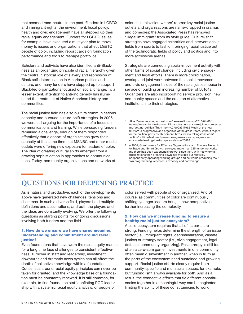<span id="page-4-0"></span>that seemed race-neutral in the past. Funders in LGBTQ and immigrant rights, the environment, fiscal policy, health and civic engagement have all stepped up their racial equity engagement. [Funders for LGBTQ Issues](https://www.unitedphilforum.org/), for example, have executed a multiyear plan to move money to issues and organizations that affect LGBTQ people of color, including report cards on foundation performance and tools to reshape portfolios.

Scholars and activists have also identified anti-Blackness as an organizing principle of racial hierarchy given the central historical role of slavery and repression of Black self-determination in American politics and culture, and many funders have stepped up to support Black-led organizations focused on social change. To a lesser extent, attention to anti-indigeneity has illuminated the treatment of Native American history and communities.

The racial justice field has also built its communications capacity and pursued culture-shift strategies. In 2006, we were still arguing for the importance of a focus on communications and framing. While persuading funders remained a challenge, enough of them responded effectively that a cohort of organizations grew their capacity at the same time that MSNBC and other media outlets were offering new exposure for leaders of color. The idea of creating cultural shifts emerged from a growing sophistication in approaches to communications. Today, community organizations and networks of

color sit in television writers' rooms; key racial justice outlets and organizations are name-dropped in dramas and comedies; the Associated Press has removed "illegal immigrant" from its style guide. Culture-shift strategies have engaged celebrities and interventions in fields from sports to fashion, bringing racial justice out of the technocratic fields of policy and politics and into more accessible arenas.

Strategists are connecting social-movement activity with other forms of social change, including civic engagement and legal efforts. There is more coordination, overlap and joint work between the social movement and civic engagement sides of the racial justice house in service of building an increasing number of 501c4s. Organizers are also incorporating service provision, new community spaces and the creation of alternative institutions into their strategies.

## **QUESTIONS FOR DEEPENING PRACTICE**

As is natural and productive, each of the developments above have generated new challenges, tensions and dilemmas. In such a diverse field, players hold multiple definitions and assumptions, and both the players and the ideas are constantly evolving. We offer the following questions as starting points for ongoing discussions involving both funders and the field.

#### 1. How do we ensure we have shared meaning, understanding and commitment around racial iustice?

Even foundations that have worn the racial equity mantle for a long time face challenges to consistent effectiveness. Turnover in staff and leadership, investment downturns and dramatic news cycles can all affect the depth of collective knowledge within a foundation. Consensus around racial equity principles can never be taken for granted, and the knowledge base of a foundation must be constantly renewed. It is still common, for example, to find foundation staff conflating POC leadership with a systemic racial equity analysis, or people of

color served with people of color organized. And of course, as communities of color are continuously shifting, younger leaders bring in new perspectives, further increasing the complexity.

### 2. How can we increase funding to ensure a healthy racial justice ecosystem?

A solid ecosystem requires that all of its parts are strong. Funding helps determine the strength of an issue sector (i.e., immigrant rights, decriminalization, climate justice) or strategy sector (i.e., civic engagement, legal defense, community organizing). Philanthropy is still too often a zero-sum game. Investments in one community often mean disinvestment in another, when in truth all the parts of the ecosystem need sustained and growing support. Racial justice efforts clearly require both community-specific and multiracial spaces, for example, but funding isn't always available for both. And as a result, the connective efforts that tie different constituencies together in a meaningful way can be neglected, limiting the ability of these constituencies to work

[<sup>1</sup>](#page-3-0) [https://www.washingtonpost.com/news/national/wp/2018/04/06/](https://www.washingtonpost.com/news/national/wp/2018/04/06/feature/in-reaction-to-trump-millions-of-americans-are-joining-protests-and-getting-political/?utm_term=.2fd00a317962) [feature/in-reaction-to-trump-millions-of-americans-are-joining-protests](https://www.washingtonpost.com/news/national/wp/2018/04/06/feature/in-reaction-to-trump-millions-of-americans-are-joining-protests-and-getting-political/?utm_term=.2fd00a317962)[and-getting-political/?utm\\_term=.2fd00a317962](https://www.washingtonpost.com/news/national/wp/2018/04/06/feature/in-reaction-to-trump-millions-of-americans-are-joining-protests-and-getting-political/?utm_term=.2fd00a317962) Much of the new activism is progressive and organized at the grass-roots, without regard for the political party establishment. [https://www.rollingstone.com/](https://www.rollingstone.com/politics/politics-features/how-a-new-generation-of-progressive-activists-is-leading-the-trump-resistance-204281/) [politics/politics-features/how-a-new-generation-of-progressive](https://www.rollingstone.com/politics/politics-features/how-a-new-generation-of-progressive-activists-is-leading-the-trump-resistance-204281/)[activists-is-leading-the-trump-resistance-204281/](https://www.rollingstone.com/politics/politics-features/how-a-new-generation-of-progressive-activists-is-leading-the-trump-resistance-204281/)

[<sup>2</sup>](#page-3-0) In 2004, Grantmakers for Effective Organizations and Funders Network for Trade and Smart Growth surveyed more than 325 funder networks and there has been exponential growth since then, with many formal organizations then breaking down into multiple but relatively independently operating working groups and networks producing their own programming, research, advocacy and convenings.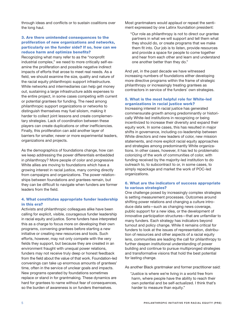through ideas and conflicts or to sustain coalitions over the long haul.

#### 3. Are there unintended consequences to the proliferation of new organizations and networks, particularly on the funder side? If so, how can we reduce harm and optimize benefits?

Recognizing what many refer to as the "nonprofit industrial complex," we need to more critically self-examine the proliferation and possible negative indirect impacts of efforts that arose to meet real needs. As a field, we should examine the size, quality and nature of the racial equity philanthropic support infrastructure. While networks and intermediaries can help get money out, sustaining a large infrastructure adds expenses to the entire project, in some cases competing with current or potential grantees for funding. The need among philanthropic support organizations or networks to distinguish themselves may fuel siloism, making it harder to collect joint lessons and create complementary strategies. Lack of coordination between these players can create duplications or other inefficiencies. Finally, this proliferation can add another layer of barriers for smaller, newer or more experimental leaders, organizations and projects.

As the demographics of foundations change, how can we keep addressing the power differentials embedded in philanthropy? More people of color and progressive White allies are moving to foundations which have a growing interest in racial justice, many coming directly from campaigns and organizations. The power relationships between foundations and grantees remain, but they can be difficult to navigate when funders are former leaders from the field.

### 4. What constitutes appropriate funder leadership in this era?

Activists and philanthropic colleagues alike have been calling for explicit, visible, courageous funder leadership in racial equity and justice. Some funders have interpreted this as a charge to focus more on developing their own programs, convening grantees before starting a new initiative or creating new resources and tools. Such efforts, however, may not only compete with the very fields they support, but because they are created in an environment fraught with unequal power relations, funders may not receive truly deep or honest feedback from the field about the value of that work. Foundation-led convenings can take up enormous amounts of grantees' time, often in the service of unclear goals and impacts. New programs operated by foundations sometimes replace or stand in for grantmaking. These dynamics are hard for grantees to name without fear of consequences, so the burden of awareness is on funders themselves.

Most grantmakers would applaud or repeat the sentiment expressed by one Latinx foundation president:

"Our role as philanthropy is not to direct our grantee partners in what we will support and tell them what they should do, or create programs that we make them fit into. Our job is to listen, provide resources and provide a space for people to come together and hear from each other and learn and understand one another better than they do."

And yet, in the past decade we have witnessed increasing numbers of foundations either developing more directive programs within the frame of strategic philanthropy or increasingly treating grantees as contractors in service of the funders' own strategies.

#### 5. What is the most helpful role for White-led organizations in racial justice work?

Increasing interest in racial justice has generated commensurate growth among predominantly or historically White-led institutions in recognizing or being incentivized to increase their diversity and expand their equity work. In some cases, this has resulted in major shifts in governance, including co-leadership between White directors and new leaders of color, new mission statements, and more explicit racial equity approaches and strategies among predominantly White organizations. In other cases, however, it has led to problematic colonizing of the work of communities of color, with funding received by the majority-led institution to do outreach to, to subcontract to or, in some cases, to simply repackage and market the work of POC-led organizations.

#### 6. What are the indicators of success appropriate to various strategies?

One challenge posed by increasingly complex strategies is setting measurement processes. Outcomes around shifting power relations and changing a culture introduce data sets—such as changing news coverage, public support for a new idea, or the development of innovative participation structures—that are unfamiliar to many funders. Each strategy has indicators beyond turnout and policy change. While it remains critical for funders to look at the issues of representation, distribution of resources and other aspects of a racial equity lens, communities are leading the call for philanthropy to further deepen institutional understanding of power building and continue to pursue multipronged strategies and transformative visions that hold the best potential for lasting change.

As another Black grantmaker and former practitioner said:

"Justice is where we're living in a world free from harm, where people have the ability to reach their own potential and be self-actualized. I think that's harder to measure than equity."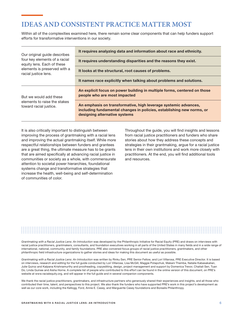## **IDEAS AND CONSISTENT PRACTICE MATTER MOST**

Within all of the complexities examined here, there remain some clear components that can help funders support efforts for transformative interventions in our society.

| Our original quide describes<br>four key elements of a racial<br>equity lens. Each of these<br>elements is preserved with a<br>racial justice lens. | It requires analyzing data and information about race and ethnicity.                                                                                                      |
|-----------------------------------------------------------------------------------------------------------------------------------------------------|---------------------------------------------------------------------------------------------------------------------------------------------------------------------------|
|                                                                                                                                                     | It requires understanding disparities and the reasons they exist.                                                                                                         |
|                                                                                                                                                     | It looks at the structural, root causes of problems.                                                                                                                      |
|                                                                                                                                                     | It names race explicitly when talking about problems and solutions.                                                                                                       |
| But we would add these<br>elements to raise the stakes<br>toward racial justice.                                                                    | An explicit focus on power building in multiple forms, centered on those<br>people who are most impacted                                                                  |
|                                                                                                                                                     | An emphasis on transformative, high leverage systemic advances,<br>including fundamental changes in policies, establishing new norms, or<br>designing alternative systems |

It is also critically important to distinguish between improving the process of grantmaking with a racial lens and improving the actual grantmaking itself. While more respectful relationships between funders and grantees are a great thing, the ultimate measure has to be grants that are aimed specifically at advancing racial justice in communities or society as a whole, with commensurate attention to societal power hierarchies, foundational systems change and transformative strategies that increase the health, well-being and self-determination of communities of color.

Throughout the guide, you will find insights and lessons from racial justice practitioners and funders who share stories about how they address these concepts and strategies in their grantmaking, argue for a racial justice lens in their own institutions and work more closely with practitioners. At the end, you will find additional tools and resources.

*Grantmaking with a Racial Justice Lens: An Introduction* was developed by the Philanthropic Initiative for Racial Equity (PRE) and draws on interviews with racial justice practitioners, grantmakers, consultants, and foundation executives working in all parts of the United States in many fields and in a wide range of international, national, community, and family foundations. PRE also convened focus groups of racial justice practitioners, grantmakers, and other philanthropic field infrastructure organizations to gather stories and ideas for making this document as useful as possible.

*Grantmaking with a Racial Justice Lens: An Introduction* was written by Rinku Sen, PRE Senior Fellow, and Lori Villarosa, PRE Executive Director. It is based on interviews, research and editing for the full guide conducted by Lori Villarosa, Lisa McGill, Maggie Potapchuk, Makani Themba, Natalie Kabasakalian, Julie Quiroz and Kalpana Krishnamurthy and proofreading, copyediting, design, project management and support by Domenica Trevor, Chaitali Sen, Tuan Do, Linda Guinee and Aisha Horne. A complete list of people who contributed to this effort can be found in the online version of this document, on PRE's website at www.racialequity.org, and will appear in the full guide and in several companion components.

We thank the racial justice practitioners, grantmakers, and infrastructure partners who generously shared their experiences and insights, and all those who contributed their time, talent, and perspectives to this project. We also thank the funders who have supported PRE's work in this project's development as well as our core work, including the Kellogg, Ford, Annie E. Casey, and Marguerite Casey foundations and Borealis Philanthropy.